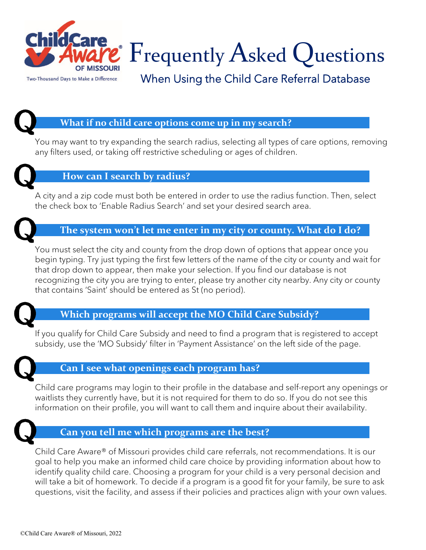

 $\degree$   $\rm F$ requently  $\rm A$ sked  $\rm Q$ uestions

When Using the Child Care Referral Database

# **What if no child care options come up in my search?**

You may want to try expanding the search radius, selecting all types of care options, removing any filters used, or taking off restrictive scheduling or ages of children.



## **How can I search by radius?**

A city and a zip code must both be entered in order to use the radius function. Then, select the check box to 'Enable Radius Search' and set your desired search area.



## **The system won't let me enter in my city or county. What do I do?**

You must select the city and county from the drop down of options that appear once you begin typing. Try just typing the first few letters of the name of the city or county and wait for that drop down to appear, then make your selection. If you find our database is not recognizing the city you are trying to enter, please try another city nearby. Any city or county that contains 'Saint' should be entered as St (no period).



## **Which programs will accept the MO Child Care Subsidy?**

If you qualify for Child Care Subsidy and need to find a program that is registered to accept subsidy, use the 'MO Subsidy' filter in 'Payment Assistance' on the left side of the page.



## **Can I see what openings each program has?**

Child care programs may login to their profile in the database and self-report any openings or waitlists they currently have, but it is not required for them to do so. If you do not see this information on their profile, you will want to call them and inquire about their availability.



## **Can you tell me which programs are the best?**

Child Care Aware® of Missouri provides child care referrals, not recommendations. It is our goal to help you make an informed child care choice by providing information about how to identify quality child care. Choosing a program for your child is a very personal decision and will take a bit of homework. To decide if a program is a good fit for your family, be sure to ask questions, visit the facility, and assess if their policies and practices align with your own values.